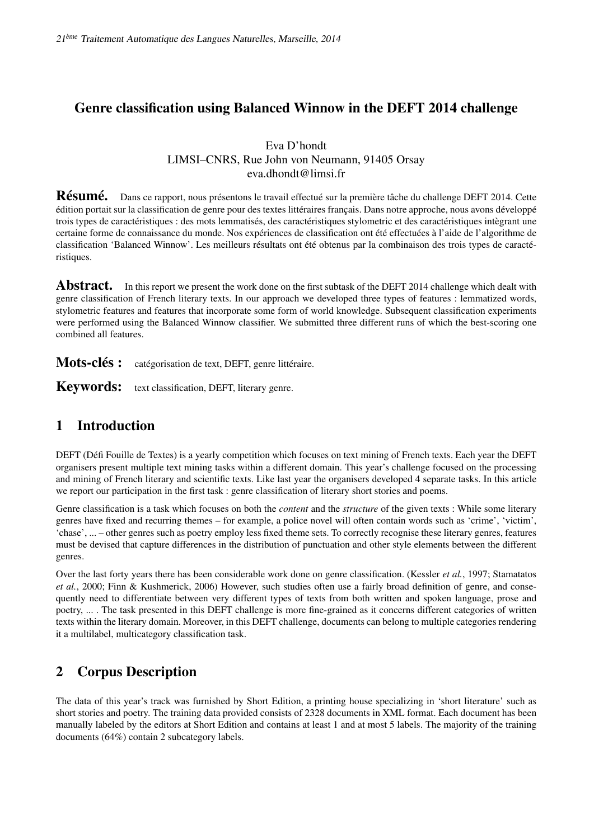# Genre classification using Balanced Winnow in the DEFT 2014 challenge

### Eva D'hondt LIMSI–CNRS, Rue John von Neumann, 91405 Orsay eva.dhondt@limsi.fr

Résumé. Dans ce rapport, nous présentons le travail effectué sur la première tâche du challenge DEFT 2014. Cette édition portait sur la classification de genre pour des textes littéraires français. Dans notre approche, nous avons développé trois types de caractéristiques : des mots lemmatisés, des caractéristiques stylometric et des caractéristiques intègrant une certaine forme de connaissance du monde. Nos expériences de classification ont été effectuées à l'aide de l'algorithme de classification 'Balanced Winnow'. Les meilleurs résultats ont été obtenus par la combinaison des trois types de caractéristiques.

Abstract. In this report we present the work done on the first subtask of the DEFT 2014 challenge which dealt with genre classification of French literary texts. In our approach we developed three types of features : lemmatized words, stylometric features and features that incorporate some form of world knowledge. Subsequent classification experiments were performed using the Balanced Winnow classifier. We submitted three different runs of which the best-scoring one combined all features.

Mots-clés : catégorisation de text, DEFT, genre littéraire.

Keywords: text classification, DEFT, literary genre.

# 1 Introduction

DEFT (Défi Fouille de Textes) is a yearly competition which focuses on text mining of French texts. Each year the DEFT organisers present multiple text mining tasks within a different domain. This year's challenge focused on the processing and mining of French literary and scientific texts. Like last year the organisers developed 4 separate tasks. In this article we report our participation in the first task : genre classification of literary short stories and poems.

Genre classification is a task which focuses on both the *content* and the *structure* of the given texts : While some literary genres have fixed and recurring themes – for example, a police novel will often contain words such as 'crime', 'victim', 'chase', ... – other genres such as poetry employ less fixed theme sets. To correctly recognise these literary genres, features must be devised that capture differences in the distribution of punctuation and other style elements between the different genres.

Over the last forty years there has been considerable work done on genre classification. (Kessler *et al.*, 1997; Stamatatos *et al.*, 2000; Finn & Kushmerick, 2006) However, such studies often use a fairly broad definition of genre, and consequently need to differentiate between very different types of texts from both written and spoken language, prose and poetry, ... . The task presented in this DEFT challenge is more fine-grained as it concerns different categories of written texts within the literary domain. Moreover, in this DEFT challenge, documents can belong to multiple categories rendering it a multilabel, multicategory classification task.

# 2 Corpus Description

The data of this year's track was furnished by Short Edition, a printing house specializing in 'short literature' such as short stories and poetry. The training data provided consists of 2328 documents in XML format. Each document has been manually labeled by the editors at Short Edition and contains at least 1 and at most 5 labels. The majority of the training documents (64%) contain 2 subcategory labels.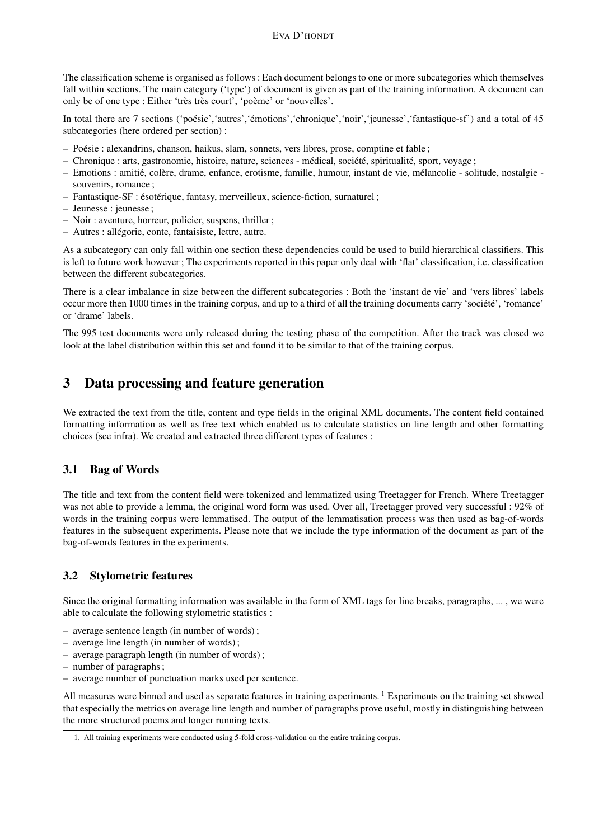The classification scheme is organised as follows : Each document belongs to one or more subcategories which themselves fall within sections. The main category ('type') of document is given as part of the training information. A document can only be of one type : Either 'très très court', 'poème' or 'nouvelles'.

In total there are 7 sections ('poésie','autres','émotions','chronique','noir','jeunesse','fantastique-sf') and a total of 45 subcategories (here ordered per section) :

- Poésie : alexandrins, chanson, haikus, slam, sonnets, vers libres, prose, comptine et fable ;
- Chronique : arts, gastronomie, histoire, nature, sciences médical, société, spiritualité, sport, voyage ;
- Emotions : amitié, colère, drame, enfance, erotisme, famille, humour, instant de vie, mélancolie solitude, nostalgie souvenirs, romance ;
- Fantastique-SF : ésotérique, fantasy, merveilleux, science-fiction, surnaturel ;
- Jeunesse : jeunesse ;
- Noir : aventure, horreur, policier, suspens, thriller ;
- Autres : allégorie, conte, fantaisiste, lettre, autre.

As a subcategory can only fall within one section these dependencies could be used to build hierarchical classifiers. This is left to future work however ; The experiments reported in this paper only deal with 'flat' classification, i.e. classification between the different subcategories.

There is a clear imbalance in size between the different subcategories : Both the 'instant de vie' and 'vers libres' labels occur more then 1000 times in the training corpus, and up to a third of all the training documents carry 'société', 'romance' or 'drame' labels.

The 995 test documents were only released during the testing phase of the competition. After the track was closed we look at the label distribution within this set and found it to be similar to that of the training corpus.

### 3 Data processing and feature generation

We extracted the text from the title, content and type fields in the original XML documents. The content field contained formatting information as well as free text which enabled us to calculate statistics on line length and other formatting choices (see infra). We created and extracted three different types of features :

#### 3.1 Bag of Words

The title and text from the content field were tokenized and lemmatized using Treetagger for French. Where Treetagger was not able to provide a lemma, the original word form was used. Over all, Treetagger proved very successful : 92% of words in the training corpus were lemmatised. The output of the lemmatisation process was then used as bag-of-words features in the subsequent experiments. Please note that we include the type information of the document as part of the bag-of-words features in the experiments.

#### 3.2 Stylometric features

Since the original formatting information was available in the form of XML tags for line breaks, paragraphs, ... , we were able to calculate the following stylometric statistics :

- average sentence length (in number of words) ;
- average line length (in number of words) ;
- average paragraph length (in number of words) ;
- number of paragraphs ;
- average number of punctuation marks used per sentence.

All measures were binned and used as separate features in training experiments.  $1$  Experiments on the training set showed that especially the metrics on average line length and number of paragraphs prove useful, mostly in distinguishing between the more structured poems and longer running texts.

<sup>1.</sup> All training experiments were conducted using 5-fold cross-validation on the entire training corpus.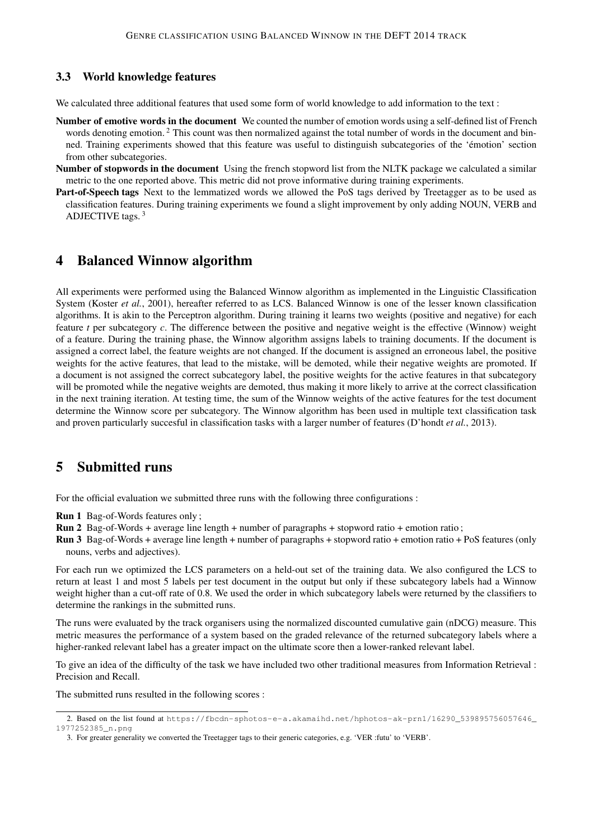#### 3.3 World knowledge features

We calculated three additional features that used some form of world knowledge to add information to the text :

- Number of emotive words in the document We counted the number of emotion words using a self-defined list of French words denoting emotion. <sup>2</sup> This count was then normalized against the total number of words in the document and binned. Training experiments showed that this feature was useful to distinguish subcategories of the 'émotion' section from other subcategories.
- Number of stopwords in the document Using the french stopword list from the NLTK package we calculated a similar metric to the one reported above. This metric did not prove informative during training experiments.
- Part-of-Speech tags Next to the lemmatized words we allowed the PoS tags derived by Treetagger as to be used as classification features. During training experiments we found a slight improvement by only adding NOUN, VERB and ADJECTIVE tags. <sup>3</sup>

### 4 Balanced Winnow algorithm

All experiments were performed using the Balanced Winnow algorithm as implemented in the Linguistic Classification System (Koster *et al.*, 2001), hereafter referred to as LCS. Balanced Winnow is one of the lesser known classification algorithms. It is akin to the Perceptron algorithm. During training it learns two weights (positive and negative) for each feature *t* per subcategory *c*. The difference between the positive and negative weight is the effective (Winnow) weight of a feature. During the training phase, the Winnow algorithm assigns labels to training documents. If the document is assigned a correct label, the feature weights are not changed. If the document is assigned an erroneous label, the positive weights for the active features, that lead to the mistake, will be demoted, while their negative weights are promoted. If a document is not assigned the correct subcategory label, the positive weights for the active features in that subcategory will be promoted while the negative weights are demoted, thus making it more likely to arrive at the correct classification in the next training iteration. At testing time, the sum of the Winnow weights of the active features for the test document determine the Winnow score per subcategory. The Winnow algorithm has been used in multiple text classification task and proven particularly succesful in classification tasks with a larger number of features (D'hondt *et al.*, 2013).

### 5 Submitted runs

For the official evaluation we submitted three runs with the following three configurations :

- Run 1 Bag-of-Words features only ;
- Run 2 Bag-of-Words + average line length + number of paragraphs + stopword ratio + emotion ratio ;
- Run 3 Bag-of-Words + average line length + number of paragraphs + stopword ratio + emotion ratio + PoS features (only nouns, verbs and adjectives).

For each run we optimized the LCS parameters on a held-out set of the training data. We also configured the LCS to return at least 1 and most 5 labels per test document in the output but only if these subcategory labels had a Winnow weight higher than a cut-off rate of 0.8. We used the order in which subcategory labels were returned by the classifiers to determine the rankings in the submitted runs.

The runs were evaluated by the track organisers using the normalized discounted cumulative gain (nDCG) measure. This metric measures the performance of a system based on the graded relevance of the returned subcategory labels where a higher-ranked relevant label has a greater impact on the ultimate score then a lower-ranked relevant label.

To give an idea of the difficulty of the task we have included two other traditional measures from Information Retrieval : Precision and Recall.

The submitted runs resulted in the following scores :

<sup>2.</sup> Based on the list found at https://fbcdn-sphotos-e-a.akamaihd.net/hphotos-ak-prn1/16290\_539895756057646\_ 1977252385\_n.png

<sup>3.</sup> For greater generality we converted the Treetagger tags to their generic categories, e.g. 'VER :futu' to 'VERB'.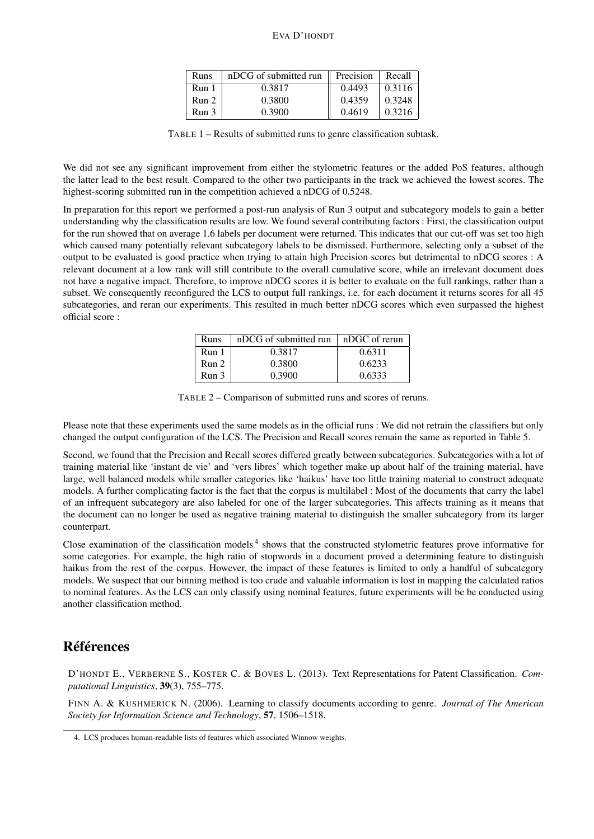#### EVA D'HONDT

| Runs  | nDCG of submitted run | $\parallel$ Precision | Recall |
|-------|-----------------------|-----------------------|--------|
| Run 1 | 0.3817                | 0.4493                | 0.3116 |
| Run 2 | 0.3800                | 0.4359                | 0.3248 |
| Run 3 | 0.3900                | 0.4619                | 0.3216 |

TABLE 1 – Results of submitted runs to genre classification subtask.

We did not see any significant improvement from either the stylometric features or the added PoS features, although the latter lead to the best result. Compared to the other two participants in the track we achieved the lowest scores. The highest-scoring submitted run in the competition achieved a nDCG of 0.5248.

In preparation for this report we performed a post-run analysis of Run 3 output and subcategory models to gain a better understanding why the classification results are low. We found several contributing factors : First, the classification output for the run showed that on average 1.6 labels per document were returned. This indicates that our cut-off was set too high which caused many potentially relevant subcategory labels to be dismissed. Furthermore, selecting only a subset of the output to be evaluated is good practice when trying to attain high Precision scores but detrimental to nDCG scores : A relevant document at a low rank will still contribute to the overall cumulative score, while an irrelevant document does not have a negative impact. Therefore, to improve nDCG scores it is better to evaluate on the full rankings, rather than a subset. We consequently reconfigured the LCS to output full rankings, i.e. for each document it returns scores for all 45 subcategories, and reran our experiments. This resulted in much better nDCG scores which even surpassed the highest official score :

| Runs             | $nDCG$ of submitted run $\parallel$ | nDGC of rerun |
|------------------|-------------------------------------|---------------|
| Run <sub>1</sub> | 0.3817                              | 0.6311        |
| Run 2            | 0.3800                              | 0.6233        |
| Run 3            | 0.3900                              | 0.6333        |

TABLE 2 – Comparison of submitted runs and scores of reruns.

Please note that these experiments used the same models as in the official runs : We did not retrain the classifiers but only changed the output configuration of the LCS. The Precision and Recall scores remain the same as reported in Table 5.

Second, we found that the Precision and Recall scores differed greatly between subcategories. Subcategories with a lot of training material like 'instant de vie' and 'vers libres' which together make up about half of the training material, have large, well balanced models while smaller categories like 'haikus' have too little training material to construct adequate models. A further complicating factor is the fact that the corpus is multilabel : Most of the documents that carry the label of an infrequent subcategory are also labeled for one of the larger subcategories. This affects training as it means that the document can no longer be used as negative training material to distinguish the smaller subcategory from its larger counterpart.

Close examination of the classification models<sup>4</sup> shows that the constructed stylometric features prove informative for some categories. For example, the high ratio of stopwords in a document proved a determining feature to distinguish haikus from the rest of the corpus. However, the impact of these features is limited to only a handful of subcategory models. We suspect that our binning method is too crude and valuable information is lost in mapping the calculated ratios to nominal features. As the LCS can only classify using nominal features, future experiments will be be conducted using another classification method.

# Références

D'HONDT E., VERBERNE S., KOSTER C. & BOVES L. (2013). Text Representations for Patent Classification. *Computational Linguistics*, 39(3), 755–775.

FINN A. & KUSHMERICK N. (2006). Learning to classify documents according to genre. *Journal of The American Society for Information Science and Technology*, 57, 1506–1518.

<sup>4.</sup> LCS produces human-readable lists of features which associated Winnow weights.